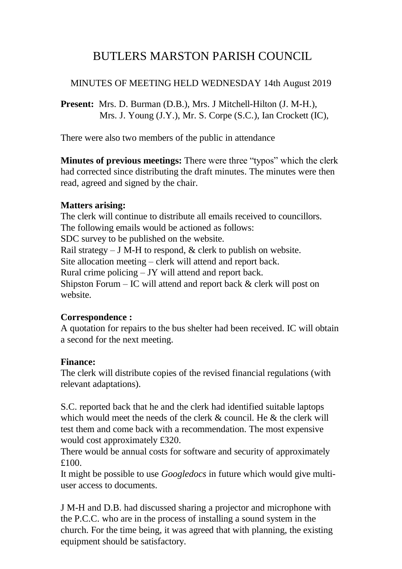# BUTLERS MARSTON PARISH COUNCIL

#### MINUTES OF MEETING HELD WEDNESDAY 14th August 2019

**Present:** Mrs. D. Burman (D.B.), Mrs. J Mitchell-Hilton (J. M-H.), Mrs. J. Young (J.Y.), Mr. S. Corpe (S.C.), Ian Crockett (IC),

There were also two members of the public in attendance

**Minutes of previous meetings:** There were three "typos" which the clerk had corrected since distributing the draft minutes. The minutes were then read, agreed and signed by the chair.

#### **Matters arising:**

The clerk will continue to distribute all emails received to councillors. The following emails would be actioned as follows: SDC survey to be published on the website. Rail strategy – J M-H to respond,  $\&$  clerk to publish on website. Site allocation meeting – clerk will attend and report back. Rural crime policing – JY will attend and report back. Shipston Forum – IC will attend and report back  $\&$  clerk will post on website.

#### **Correspondence :**

A quotation for repairs to the bus shelter had been received. IC will obtain a second for the next meeting.

#### **Finance:**

The clerk will distribute copies of the revised financial regulations (with relevant adaptations).

S.C. reported back that he and the clerk had identified suitable laptops which would meet the needs of the clerk & council. He & the clerk will test them and come back with a recommendation. The most expensive would cost approximately £320.

There would be annual costs for software and security of approximately £100.

It might be possible to use *Googledocs* in future which would give multiuser access to documents.

J M-H and D.B. had discussed sharing a projector and microphone with the P.C.C. who are in the process of installing a sound system in the church. For the time being, it was agreed that with planning, the existing equipment should be satisfactory.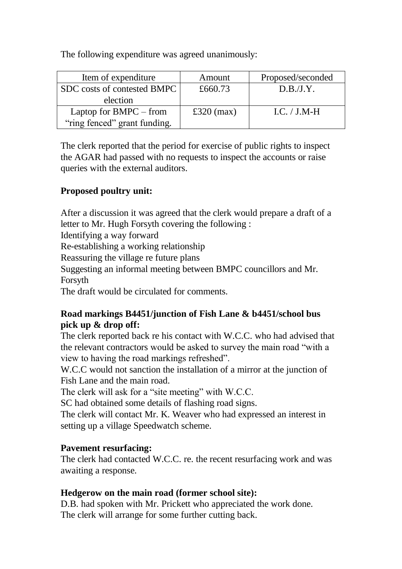The following expenditure was agreed unanimously:

| Item of expenditure          | Amount       | Proposed/seconded |
|------------------------------|--------------|-------------------|
| SDC costs of contested BMPC  | £660.73      | D.B.J.Y.          |
| election                     |              |                   |
| Laptop for $BMPC$ – from     | £320 $(max)$ | $LC. / J.M-H$     |
| "ring fenced" grant funding. |              |                   |

The clerk reported that the period for exercise of public rights to inspect the AGAR had passed with no requests to inspect the accounts or raise queries with the external auditors.

# **Proposed poultry unit:**

After a discussion it was agreed that the clerk would prepare a draft of a letter to Mr. Hugh Forsyth covering the following :

Identifying a way forward

Re-establishing a working relationship

Reassuring the village re future plans

Suggesting an informal meeting between BMPC councillors and Mr. Forsyth

The draft would be circulated for comments.

## **Road markings B4451/junction of Fish Lane & b4451/school bus pick up & drop off:**

The clerk reported back re his contact with W.C.C. who had advised that the relevant contractors would be asked to survey the main road "with a view to having the road markings refreshed".

W.C.C would not sanction the installation of a mirror at the junction of Fish Lane and the main road.

The clerk will ask for a "site meeting" with W.C.C.

SC had obtained some details of flashing road signs.

The clerk will contact Mr. K. Weaver who had expressed an interest in setting up a village Speedwatch scheme.

# **Pavement resurfacing:**

The clerk had contacted W.C.C. re. the recent resurfacing work and was awaiting a response.

## **Hedgerow on the main road (former school site):**

D.B. had spoken with Mr. Prickett who appreciated the work done. The clerk will arrange for some further cutting back.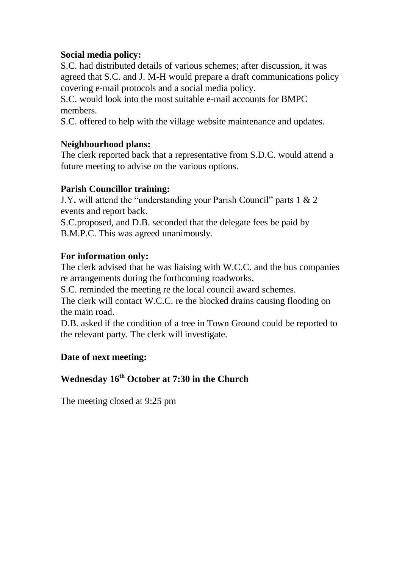#### **Social media policy:**

S.C. had distributed details of various schemes; after discussion, it was agreed that S.C. and J. M-H would prepare a draft communications policy covering e-mail protocols and a social media policy.

S.C. would look into the most suitable e-mail accounts for BMPC members.

S.C. offered to help with the village website maintenance and updates.

## **Neighbourhood plans:**

The clerk reported back that a representative from S.D.C. would attend a future meeting to advise on the various options.

#### **Parish Councillor training:**

J.Y**.** will attend the "understanding your Parish Council" parts 1 & 2 events and report back.

S.C.proposed, and D.B. seconded that the delegate fees be paid by B.M.P.C. This was agreed unanimously.

## **For information only:**

The clerk advised that he was liaising with W.C.C. and the bus companies re arrangements during the forthcoming roadworks.

S.C. reminded the meeting re the local council award schemes.

The clerk will contact W.C.C. re the blocked drains causing flooding on the main road.

D.B. asked if the condition of a tree in Town Ground could be reported to the relevant party. The clerk will investigate.

## **Date of next meeting:**

# **Wednesday 16th October at 7:30 in the Church**

The meeting closed at 9:25 pm